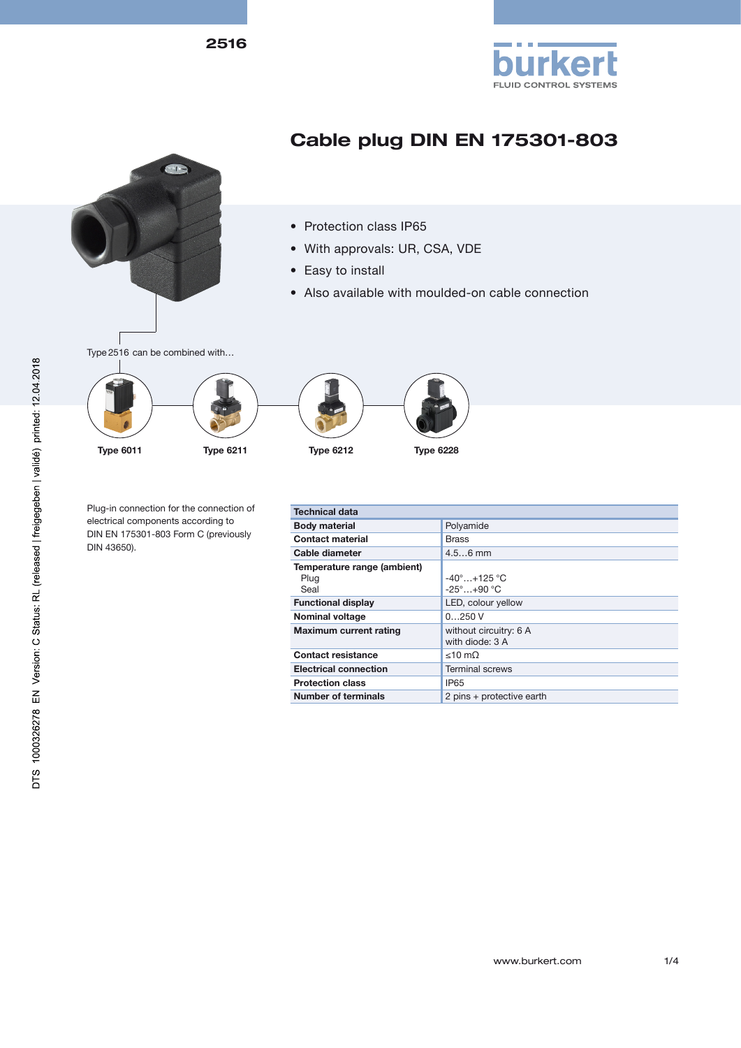2516





## DTS 1000326278 EN Version: C Status: RL (released | freigegeben | validé) printed: 12.04.2018

www.burkert.com 1/4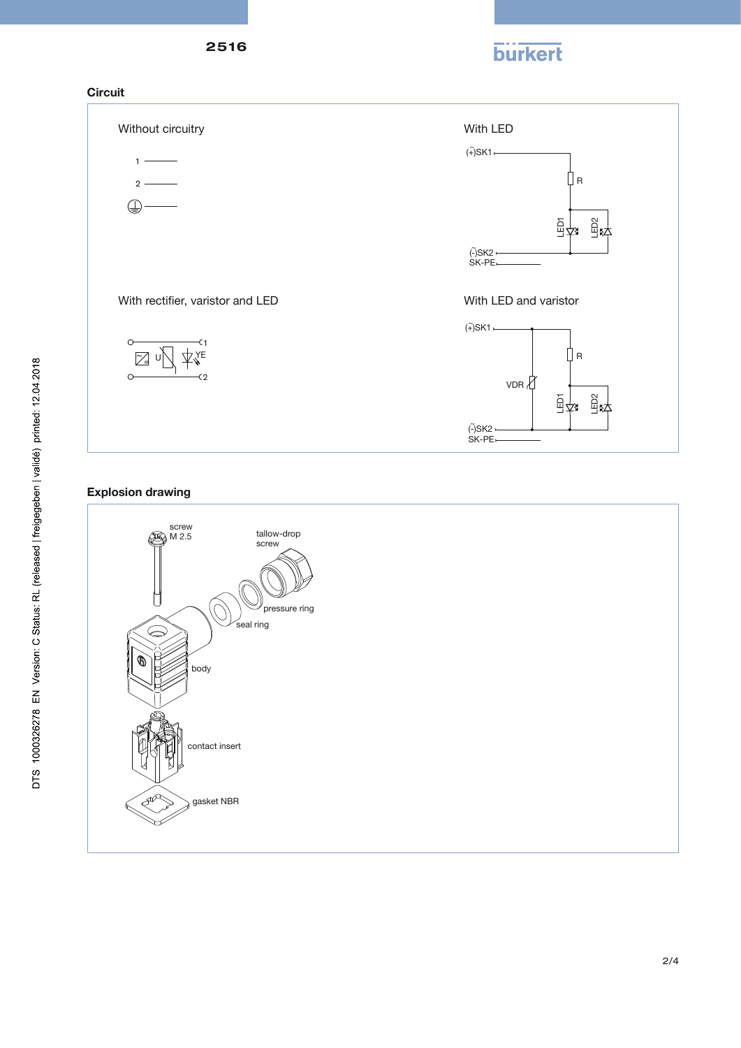







Explosion drawing

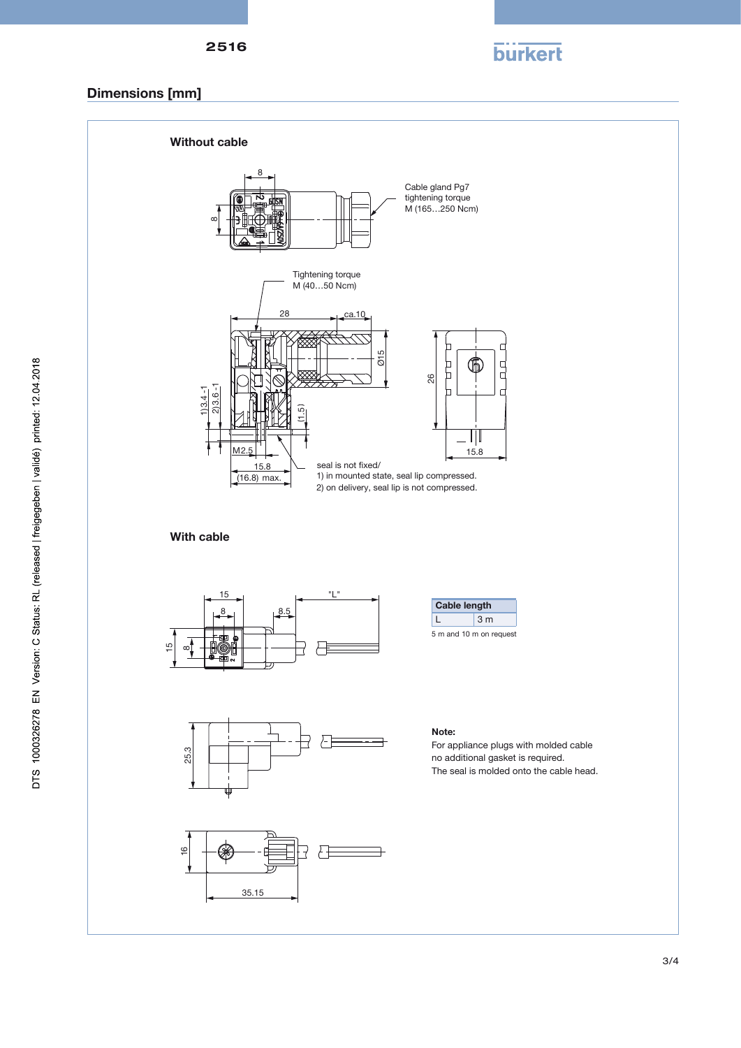

## Dimensions [mm]